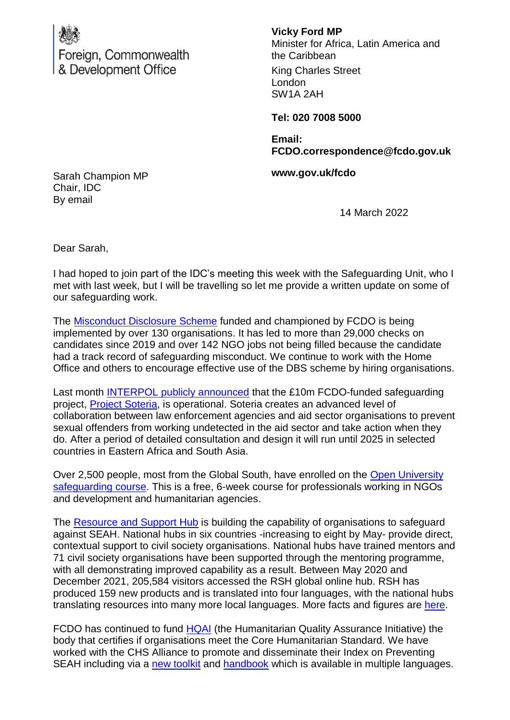

**Vicky Ford MP**

Minister for Africa, Latin America and the Caribbean

King Charles Street London SW1A 2AH

**Tel: 020 7008 5000**

**Email: FCDO.correspondence@fcdo.gov.uk**

**www.gov.uk/fcdo**

Sarah Champion MP Chair, IDC By email

14 March 2022

Dear Sarah,

I had hoped to join part of the IDC's meeting this week with the Safeguarding Unit, who I met with last week, but I will be travelling so let me provide a written update on some of our safeguarding work.

The **Misconduct Disclosure Scheme** funded and championed by FCDO is being implemented by over 130 organisations. It has led to more than 29,000 checks on candidates since 2019 and over 142 NGO jobs not being filled because the candidate had a track record of safeguarding misconduct. We continue to work with the Home Office and others to encourage effective use of the DBS scheme by hiring organisations.

Last month [INTERPOL publicly announced](https://eur02.safelinks.protection.outlook.com/?url=https%3A%2F%2Fwww.interpol.int%2FNews-and-Events%2FNews%2F2022%2FINTERPOL-rolls-out-initiative-against-sexual-abuse-in-the-aid-sector&data=04%7C01%7CEvelyn-Iwheta%40dfid.gov.uk%7C3ec64a592abf46dc2f9d08d9f2f073c7%7Ccdf709af1a184c74bd936d14a64d73b3%7C0%7C0%7C637807936807677390%7CUnknown%7CTWFpbGZsb3d8eyJWIjoiMC4wLjAwMDAiLCJQIjoiV2luMzIiLCJBTiI6Ik1haWwiLCJXVCI6Mn0%3D%7C3000&sdata=%2FEKToJCxVkzty9U469FHcyFvy6Q2ikXDf5gT%2FV%2FOauw%3D&reserved=0) that the £10m FCDO-funded safeguarding project, [Project Soteria,](https://eur02.safelinks.protection.outlook.com/?url=https%3A%2F%2Fwww.interpol.int%2FHow-we-work%2FCapacity-building%2FCapacity-building-projects%2FProject-Soteria&data=04%7C01%7CEvelyn-Iwheta%40dfid.gov.uk%7C3ec64a592abf46dc2f9d08d9f2f073c7%7Ccdf709af1a184c74bd936d14a64d73b3%7C0%7C0%7C637807936807677390%7CUnknown%7CTWFpbGZsb3d8eyJWIjoiMC4wLjAwMDAiLCJQIjoiV2luMzIiLCJBTiI6Ik1haWwiLCJXVCI6Mn0%3D%7C3000&sdata=YmDo%2FyKnc%2FOLyCrpoFTob6GxPPPPfCrh0Ktv7cKcje8%3D&reserved=0) is operational. Soteria creates an advanced level of collaboration between law enforcement agencies and aid sector organisations to prevent sexual offenders from working undetected in the aid sector and take action when they do. After a period of detailed consultation and design it will run until 2025 in selected countries in Eastern Africa and South Asia.

Over 2,500 people, most from the Global South, have enrolled on the [Open University](https://www.futurelearn.com/courses/introduction-to-safeguarding-in-the-international-aid-sector)  [safeguarding course.](https://www.futurelearn.com/courses/introduction-to-safeguarding-in-the-international-aid-sector) This is a free, 6-week course for professionals working in NGOs and development and humanitarian agencies.

The [Resource and Support Hub](https://safeguardingsupporthub.org/) is building the capability of organisations to safeguard against SEAH. National hubs in six countries -increasing to eight by May- provide direct, contextual support to civil society organisations. National hubs have trained mentors and 71 civil society organisations have been supported through the mentoring programme, with all demonstrating improved capability as a result. Between May 2020 and December 2021, 205,584 visitors accessed the RSH global online hub. RSH has produced 159 new products and is translated into four languages, with the national hubs translating resources into many more local languages. More facts and figures are [here.](https://safeguardingsupporthub.org/sites/default/files/2021-12/infographic_brand.pdf)

FCDO has continued to fund **HQAI** (the Humanitarian Quality Assurance Initiative) the body that certifies if organisations meet the Core Humanitarian Standard. We have worked with the CHS Alliance to promote and disseminate their Index on Preventing SEAH including via a [new toolkit](https://www.chsalliance.org/get-support/resource/code-of-conduct-toolkit/) and [handbook](https://www.chsalliance.org/get-support/resource/pseah-implementation-quick-reference-handbook/) which is available in multiple languages.